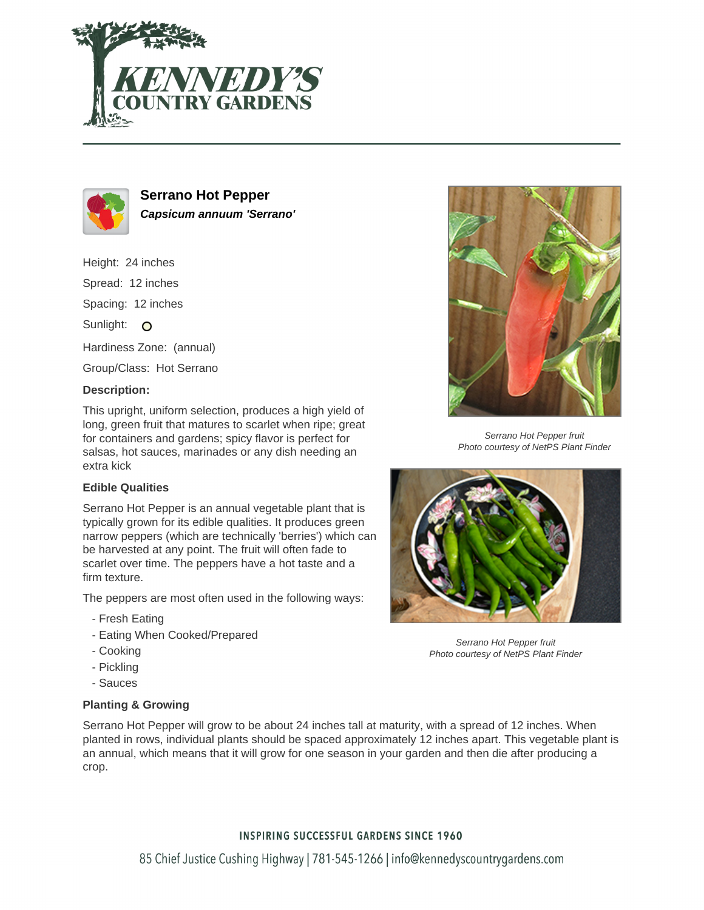



**Serrano Hot Pepper Capsicum annuum 'Serrano'**

Height: 24 inches Spread: 12 inches Spacing: 12 inches Sunlight: O Hardiness Zone: (annual) Group/Class: Hot Serrano **Description:**

This upright, uniform selection, produces a high yield of long, green fruit that matures to scarlet when ripe; great for containers and gardens; spicy flavor is perfect for salsas, hot sauces, marinades or any dish needing an extra kick

## **Edible Qualities**

Serrano Hot Pepper is an annual vegetable plant that is typically grown for its edible qualities. It produces green narrow peppers (which are technically 'berries') which can be harvested at any point. The fruit will often fade to scarlet over time. The peppers have a hot taste and a firm texture.

The peppers are most often used in the following ways:

- Fresh Eating
- Eating When Cooked/Prepared
- Cooking
- Pickling
- Sauces

## **Planting & Growing**



Serrano Hot Pepper fruit Photo courtesy of NetPS Plant Finder



Serrano Hot Pepper fruit Photo courtesy of NetPS Plant Finder

Serrano Hot Pepper will grow to be about 24 inches tall at maturity, with a spread of 12 inches. When planted in rows, individual plants should be spaced approximately 12 inches apart. This vegetable plant is an annual, which means that it will grow for one season in your garden and then die after producing a crop.

## **INSPIRING SUCCESSFUL GARDENS SINCE 1960**